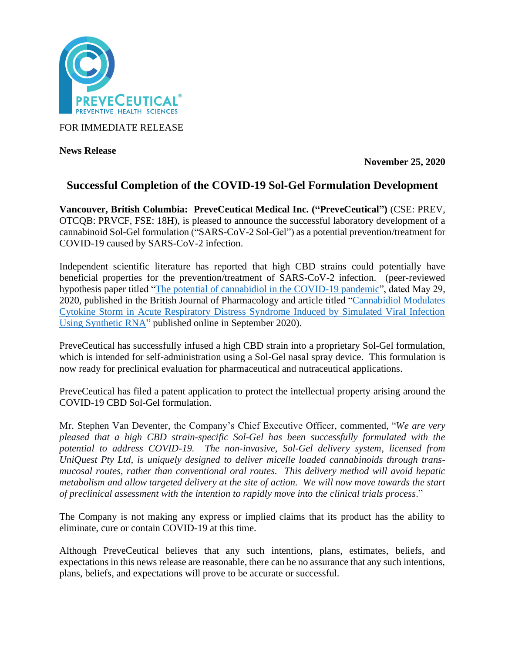

FOR IMMEDIATE RELEASE

**News Release** 

**November 25, 2020**

# **Successful Completion of the COVID-19 Sol-Gel Formulation Development**

**Vancouver, British Columbia: PreveCeutical Medical Inc. ("PreveCeutical")** (CSE: PREV, OTCQB: PRVCF, FSE: 18H), is pleased to announce the successful laboratory development of a cannabinoid Sol-Gel formulation ("SARS-CoV-2 Sol-Gel") as a potential prevention/treatment for COVID-19 caused by SARS-CoV-2 infection.

Independent scientific literature has reported that high CBD strains could potentially have beneficial properties for the prevention/treatment of SARS-CoV-2 infection. (peer-reviewed hypothesis paper titled ["The potential of cannabidiol in the COVID-19 pandemic"](https://www.ncbi.nlm.nih.gov/pmc/articles/PMC7300643/pdf/BPH-177-4967.pdf), dated May 29, 2020, published in the British Journal of Pharmacology and article titled ["Cannabidiol Modulates](https://www.ncbi.nlm.nih.gov/pmc/articles/PMC7480719/)  [Cytokine Storm in Acute Respiratory Distress Syndrome Induced by Simulated Viral Infection](https://www.ncbi.nlm.nih.gov/pmc/articles/PMC7480719/)  [Using Synthetic RNA"](https://www.ncbi.nlm.nih.gov/pmc/articles/PMC7480719/) published online in September 2020).

PreveCeutical has successfully infused a high CBD strain into a proprietary Sol-Gel formulation, which is intended for self-administration using a Sol-Gel nasal spray device. This formulation is now ready for preclinical evaluation for pharmaceutical and nutraceutical applications.

PreveCeutical has filed a patent application to protect the intellectual property arising around the COVID-19 CBD Sol-Gel formulation.

Mr. Stephen Van Deventer, the Company's Chief Executive Officer, commented, "*We are very pleased that a high CBD strain-specific Sol-Gel has been successfully formulated with the potential to address COVID-19. The non-invasive, Sol-Gel delivery system, licensed from UniQuest Pty Ltd, is uniquely designed to deliver micelle loaded cannabinoids through transmucosal routes, rather than conventional oral routes. This delivery method will avoid hepatic metabolism and allow targeted delivery at the site of action. We will now move towards the start of preclinical assessment with the intention to rapidly move into the clinical trials process*."

The Company is not making any express or implied claims that its product has the ability to eliminate, cure or contain COVID-19 at this time.

Although PreveCeutical believes that any such intentions, plans, estimates, beliefs, and expectations in this news release are reasonable, there can be no assurance that any such intentions, plans, beliefs, and expectations will prove to be accurate or successful.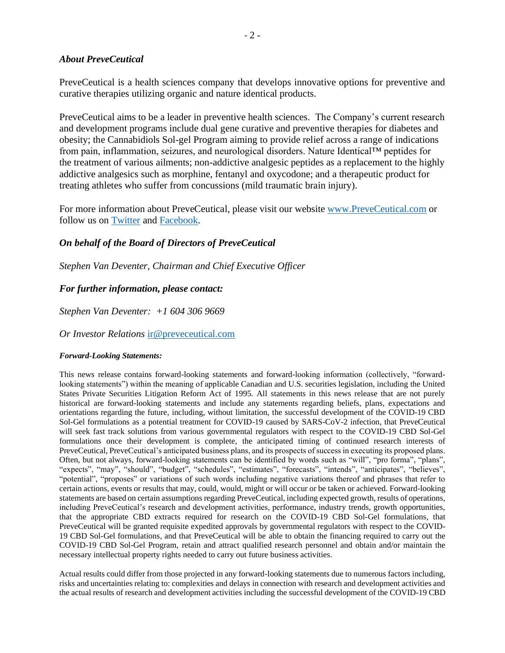#### *About PreveCeutical*

PreveCeutical is a health sciences company that develops innovative options for preventive and curative therapies utilizing organic and nature identical products.

PreveCeutical aims to be a leader in preventive health sciences. The Company's current research and development programs include dual gene curative and preventive therapies for diabetes and obesity; the Cannabidiols Sol-gel Program aiming to provide relief across a range of indications from pain, inflammation, seizures, and neurological disorders. Nature Identical™ peptides for the treatment of various ailments; non-addictive analgesic peptides as a replacement to the highly addictive analgesics such as morphine, fentanyl and oxycodone; and a therapeutic product for treating athletes who suffer from concussions (mild traumatic brain injury).

For more information about PreveCeutical, please visit our website [www.PreveCeutical.com](http://www.preveceutical.com/) or follow us on [Twitter](http://twitter.com/PreveCeuticals) and [Facebook.](http://www.facebook.com/PreveCeutical)

### *On behalf of the Board of Directors of PreveCeutical*

*Stephen Van Deventer, Chairman and Chief Executive Officer*

## *For further information, please contact:*

*Stephen Van Deventer: +1 604 306 9669*

*Or Investor Relations* [ir@preveceutical.com](mailto:ir@preveceutical.com)

#### *Forward-Looking Statements:*

This news release contains forward-looking statements and forward-looking information (collectively, "forwardlooking statements") within the meaning of applicable Canadian and U.S. securities legislation, including the United States Private Securities Litigation Reform Act of 1995. All statements in this news release that are not purely historical are forward-looking statements and include any statements regarding beliefs, plans, expectations and orientations regarding the future, including, without limitation, the successful development of the COVID-19 CBD Sol-Gel formulations as a potential treatment for COVID-19 caused by SARS-CoV-2 infection, that PreveCeutical will seek fast track solutions from various governmental regulators with respect to the COVID-19 CBD Sol-Gel formulations once their development is complete, the anticipated timing of continued research interests of PreveCeutical, PreveCeutical's anticipated business plans, and its prospects of success in executing its proposed plans. Often, but not always, forward-looking statements can be identified by words such as "will", "pro forma", "plans", "expects", "may", "should", "budget", "schedules", "estimates", "forecasts", "intends", "anticipates", "believes", "potential", "proposes" or variations of such words including negative variations thereof and phrases that refer to certain actions, events or results that may, could, would, might or will occur or be taken or achieved. Forward-looking statements are based on certain assumptions regarding PreveCeutical, including expected growth, results of operations, including PreveCeutical's research and development activities, performance, industry trends, growth opportunities, that the appropriate CBD extracts required for research on the COVID-19 CBD Sol-Gel formulations, that PreveCeutical will be granted requisite expedited approvals by governmental regulators with respect to the COVID-19 CBD Sol-Gel formulations, and that PreveCeutical will be able to obtain the financing required to carry out the COVID-19 CBD Sol-Gel Program, retain and attract qualified research personnel and obtain and/or maintain the necessary intellectual property rights needed to carry out future business activities.

Actual results could differ from those projected in any forward-looking statements due to numerous factors including, risks and uncertainties relating to: complexities and delays in connection with research and development activities and the actual results of research and development activities including the successful development of the COVID-19 CBD